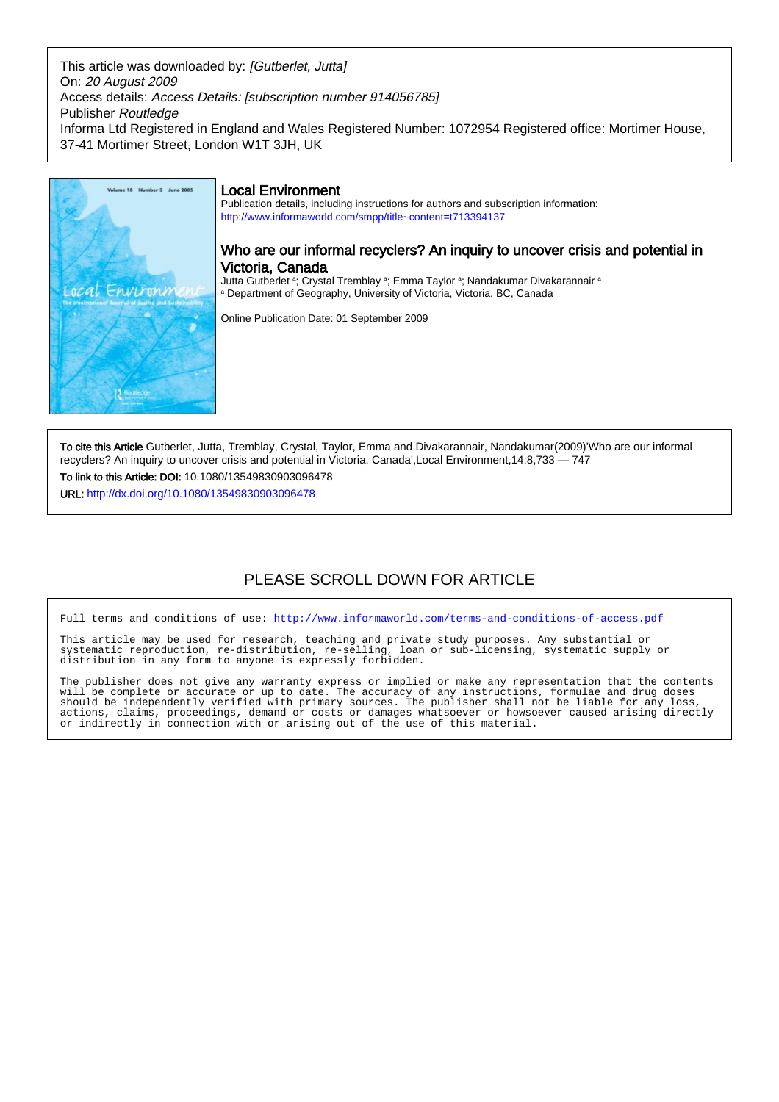This article was downloaded by: [Gutberlet, Jutta] On: 20 August 2009 Access details: Access Details: [subscription number 914056785] Publisher Routledge Informa Ltd Registered in England and Wales Registered Number: 1072954 Registered office: Mortimer House, 37-41 Mortimer Street, London W1T 3JH, UK



To cite this Article Gutberlet, Jutta, Tremblay, Crystal, Taylor, Emma and Divakarannair, Nandakumar(2009)'Who are our informal recyclers? An inquiry to uncover crisis and potential in Victoria, Canada',Local Environment,14:8,733 — 747

To link to this Article: DOI: 10.1080/13549830903096478

URL: <http://dx.doi.org/10.1080/13549830903096478>

# PLEASE SCROLL DOWN FOR ARTICLE

Full terms and conditions of use:<http://www.informaworld.com/terms-and-conditions-of-access.pdf>

This article may be used for research, teaching and private study purposes. Any substantial or systematic reproduction, re-distribution, re-selling, loan or sub-licensing, systematic supply or distribution in any form to anyone is expressly forbidden.

The publisher does not give any warranty express or implied or make any representation that the contents will be complete or accurate or up to date. The accuracy of any instructions, formulae and drug doses should be independently verified with primary sources. The publisher shall not be liable for any loss, actions, claims, proceedings, demand or costs or damages whatsoever or howsoever caused arising directly or indirectly in connection with or arising out of the use of this material.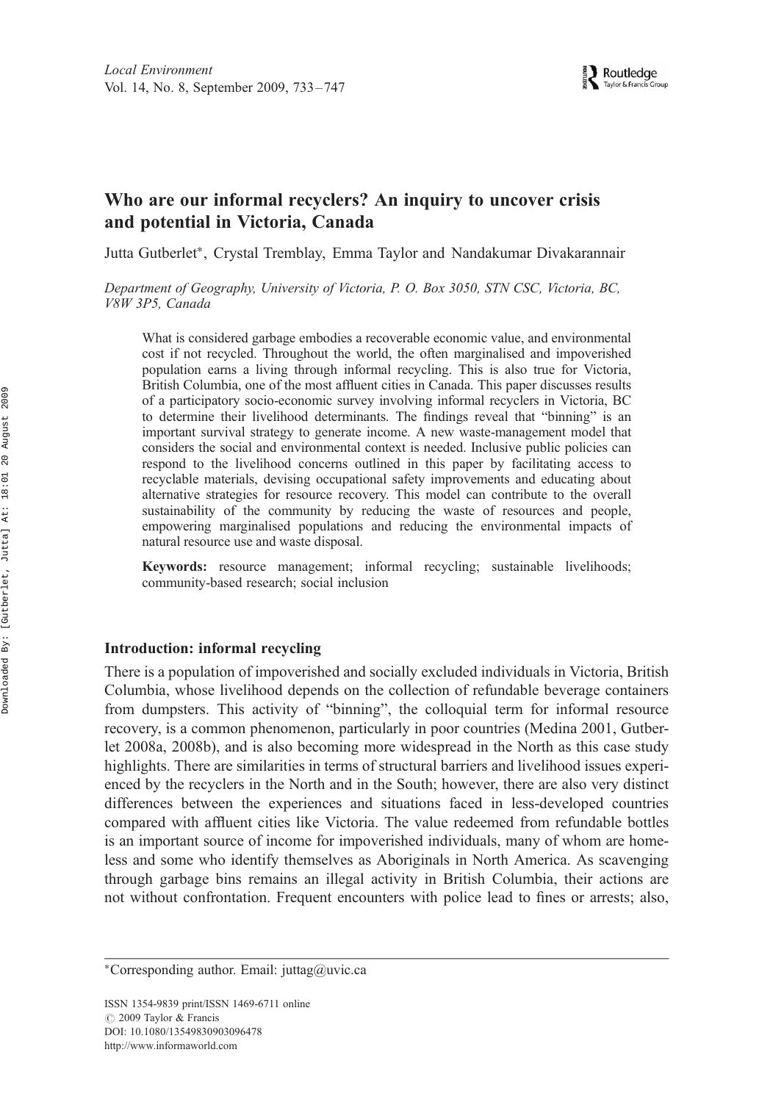# Who are our informal recyclers? An inquiry to uncover crisis and potential in Victoria, Canada

Jutta Gutberlet, Crystal Tremblay, Emma Taylor and Nandakumar Divakarannair

Department of Geography, University of Victoria, P. O. Box 3050, STN CSC, Victoria, BC, V8W 3P5, Canada

What is considered garbage embodies a recoverable economic value, and environmental cost if not recycled. Throughout the world, the often marginalised and impoverished population earns a living through informal recycling. This is also true for Victoria, British Columbia, one of the most affluent cities in Canada. This paper discusses results of a participatory socio-economic survey involving informal recyclers in Victoria, BC to determine their livelihood determinants. The findings reveal that "binning" is an important survival strategy to generate income. A new waste-management model that considers the social and environmental context is needed. Inclusive public policies can respond to the livelihood concerns outlined in this paper by facilitating access to recyclable materials, devising occupational safety improvements and educating about alternative strategies for resource recovery. This model can contribute to the overall sustainability of the community by reducing the waste of resources and people, empowering marginalised populations and reducing the environmental impacts of natural resource use and waste disposal.

Keywords: resource management; informal recycling; sustainable livelihoods; community-based research; social inclusion

# Introduction: informal recycling

There is a population of impoverished and socially excluded individuals in Victoria, British Columbia, whose livelihood depends on the collection of refundable beverage containers from dumpsters. This activity of "binning", the colloquial term for informal resource recovery, is a common phenomenon, particularly in poor countries (Medina 2001, Gutberlet 2008a, 2008b), and is also becoming more widespread in the North as this case study highlights. There are similarities in terms of structural barriers and livelihood issues experienced by the recyclers in the North and in the South; however, there are also very distinct differences between the experiences and situations faced in less-developed countries compared with affluent cities like Victoria. The value redeemed from refundable bottles is an important source of income for impoverished individuals, many of whom are homeless and some who identify themselves as Aboriginals in North America. As scavenging through garbage bins remains an illegal activity in British Columbia, their actions are not without confrontation. Frequent encounters with police lead to fines or arrests; also,

ISSN 1354-9839 print/ISSN 1469-6711 online *#* 2009 Taylor & Francis DOI: 10.1080/13549830903096478 http://www.informaworld.com

<sup>\*</sup>Corresponding author. Email: juttag@uvic.ca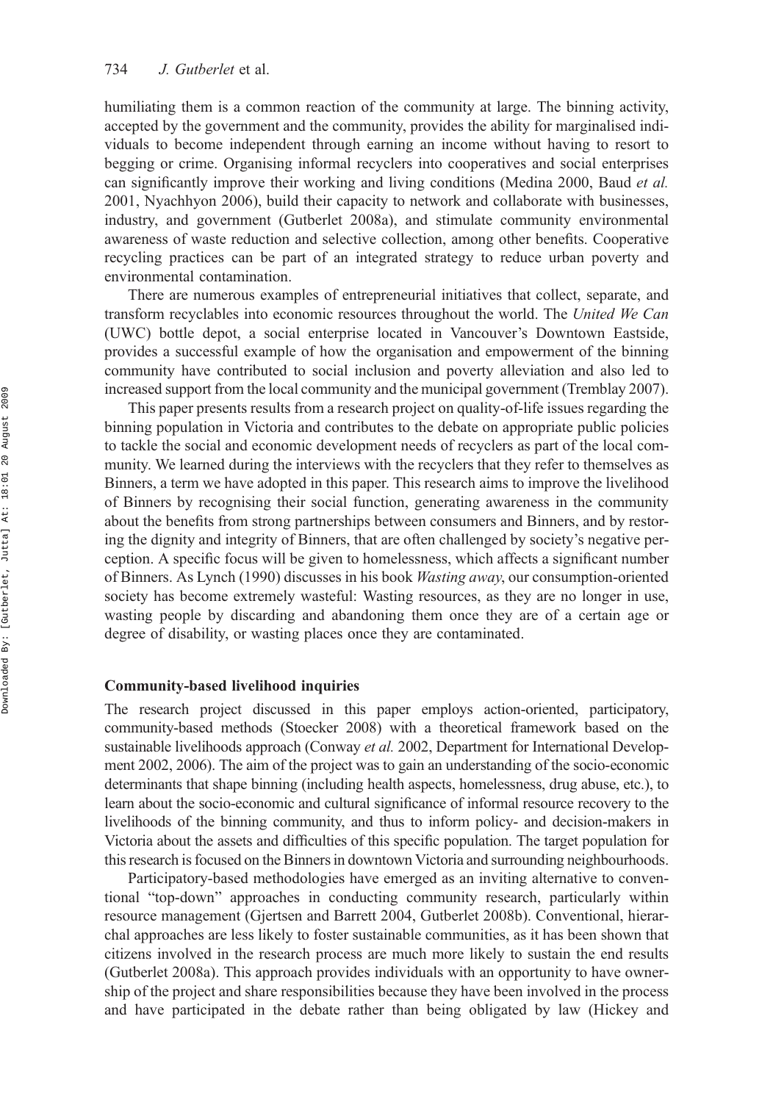humiliating them is a common reaction of the community at large. The binning activity, accepted by the government and the community, provides the ability for marginalised individuals to become independent through earning an income without having to resort to begging or crime. Organising informal recyclers into cooperatives and social enterprises can significantly improve their working and living conditions (Medina 2000, Baud et al. 2001, Nyachhyon 2006), build their capacity to network and collaborate with businesses, industry, and government (Gutberlet 2008a), and stimulate community environmental awareness of waste reduction and selective collection, among other benefits. Cooperative recycling practices can be part of an integrated strategy to reduce urban poverty and environmental contamination.

There are numerous examples of entrepreneurial initiatives that collect, separate, and transform recyclables into economic resources throughout the world. The United We Can (UWC) bottle depot, a social enterprise located in Vancouver's Downtown Eastside, provides a successful example of how the organisation and empowerment of the binning community have contributed to social inclusion and poverty alleviation and also led to increased support from the local community and the municipal government (Tremblay 2007).

This paper presents results from a research project on quality-of-life issues regarding the binning population in Victoria and contributes to the debate on appropriate public policies to tackle the social and economic development needs of recyclers as part of the local community. We learned during the interviews with the recyclers that they refer to themselves as Binners, a term we have adopted in this paper. This research aims to improve the livelihood of Binners by recognising their social function, generating awareness in the community about the benefits from strong partnerships between consumers and Binners, and by restoring the dignity and integrity of Binners, that are often challenged by society's negative perception. A specific focus will be given to homelessness, which affects a significant number of Binners. As Lynch (1990) discusses in his book Wasting away, our consumption-oriented society has become extremely wasteful: Wasting resources, as they are no longer in use, wasting people by discarding and abandoning them once they are of a certain age or degree of disability, or wasting places once they are contaminated.

#### Community-based livelihood inquiries

The research project discussed in this paper employs action-oriented, participatory, community-based methods (Stoecker 2008) with a theoretical framework based on the sustainable livelihoods approach (Conway et al. 2002, Department for International Development 2002, 2006). The aim of the project was to gain an understanding of the socio-economic determinants that shape binning (including health aspects, homelessness, drug abuse, etc.), to learn about the socio-economic and cultural significance of informal resource recovery to the livelihoods of the binning community, and thus to inform policy- and decision-makers in Victoria about the assets and difficulties of this specific population. The target population for this research is focused on the Binners in downtown Victoria and surrounding neighbourhoods.

Participatory-based methodologies have emerged as an inviting alternative to conventional "top-down" approaches in conducting community research, particularly within resource management (Gjertsen and Barrett 2004, Gutberlet 2008b). Conventional, hierarchal approaches are less likely to foster sustainable communities, as it has been shown that citizens involved in the research process are much more likely to sustain the end results (Gutberlet 2008a). This approach provides individuals with an opportunity to have ownership of the project and share responsibilities because they have been involved in the process and have participated in the debate rather than being obligated by law (Hickey and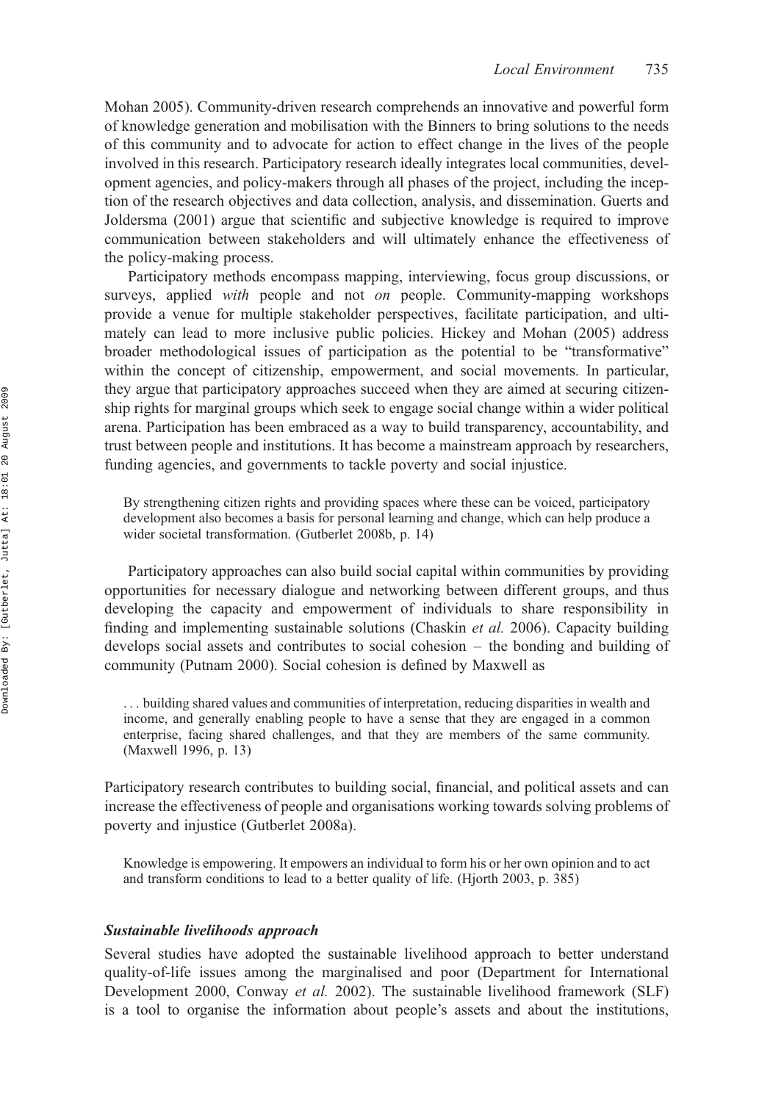Mohan 2005). Community-driven research comprehends an innovative and powerful form of knowledge generation and mobilisation with the Binners to bring solutions to the needs of this community and to advocate for action to effect change in the lives of the people involved in this research. Participatory research ideally integrates local communities, development agencies, and policy-makers through all phases of the project, including the inception of the research objectives and data collection, analysis, and dissemination. Guerts and Joldersma (2001) argue that scientific and subjective knowledge is required to improve communication between stakeholders and will ultimately enhance the effectiveness of the policy-making process.

Participatory methods encompass mapping, interviewing, focus group discussions, or surveys, applied *with* people and not *on* people. Community-mapping workshops provide a venue for multiple stakeholder perspectives, facilitate participation, and ultimately can lead to more inclusive public policies. Hickey and Mohan (2005) address broader methodological issues of participation as the potential to be "transformative" within the concept of citizenship, empowerment, and social movements. In particular, they argue that participatory approaches succeed when they are aimed at securing citizenship rights for marginal groups which seek to engage social change within a wider political arena. Participation has been embraced as a way to build transparency, accountability, and trust between people and institutions. It has become a mainstream approach by researchers, funding agencies, and governments to tackle poverty and social injustice.

By strengthening citizen rights and providing spaces where these can be voiced, participatory development also becomes a basis for personal learning and change, which can help produce a wider societal transformation. (Gutberlet 2008b, p. 14)

Participatory approaches can also build social capital within communities by providing opportunities for necessary dialogue and networking between different groups, and thus developing the capacity and empowerment of individuals to share responsibility in finding and implementing sustainable solutions (Chaskin et al. 2006). Capacity building develops social assets and contributes to social cohesion – the bonding and building of community (Putnam 2000). Social cohesion is defined by Maxwell as

... building shared values and communities of interpretation, reducing disparities in wealth and income, and generally enabling people to have a sense that they are engaged in a common enterprise, facing shared challenges, and that they are members of the same community. (Maxwell 1996, p. 13)

Participatory research contributes to building social, financial, and political assets and can increase the effectiveness of people and organisations working towards solving problems of poverty and injustice (Gutberlet 2008a).

Knowledge is empowering. It empowers an individual to form his or her own opinion and to act and transform conditions to lead to a better quality of life. (Hjorth 2003, p. 385)

#### Sustainable livelihoods approach

Several studies have adopted the sustainable livelihood approach to better understand quality-of-life issues among the marginalised and poor (Department for International Development 2000, Conway et al. 2002). The sustainable livelihood framework (SLF) is a tool to organise the information about people's assets and about the institutions,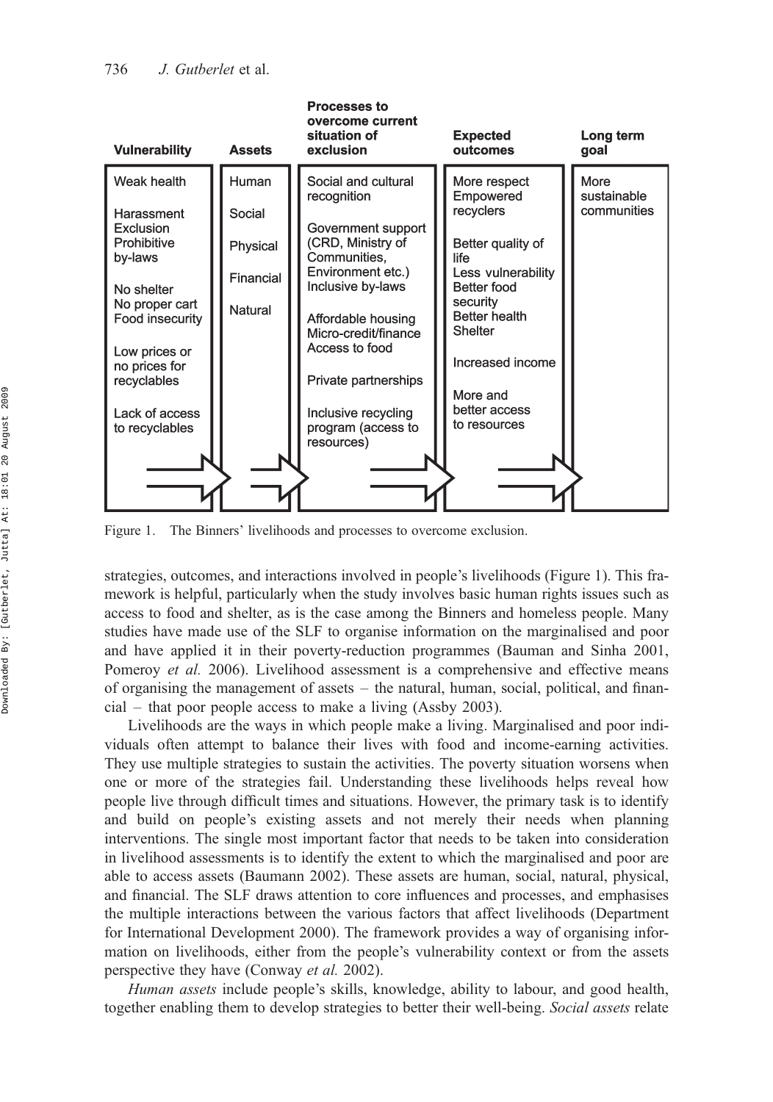

Figure 1. The Binners' livelihoods and processes to overcome exclusion.

strategies, outcomes, and interactions involved in people's livelihoods (Figure 1). This framework is helpful, particularly when the study involves basic human rights issues such as access to food and shelter, as is the case among the Binners and homeless people. Many studies have made use of the SLF to organise information on the marginalised and poor and have applied it in their poverty-reduction programmes (Bauman and Sinha 2001, Pomeroy et al. 2006). Livelihood assessment is a comprehensive and effective means of organising the management of assets – the natural, human, social, political, and financial – that poor people access to make a living (Assby 2003).

Livelihoods are the ways in which people make a living. Marginalised and poor individuals often attempt to balance their lives with food and income-earning activities. They use multiple strategies to sustain the activities. The poverty situation worsens when one or more of the strategies fail. Understanding these livelihoods helps reveal how people live through difficult times and situations. However, the primary task is to identify and build on people's existing assets and not merely their needs when planning interventions. The single most important factor that needs to be taken into consideration in livelihood assessments is to identify the extent to which the marginalised and poor are able to access assets (Baumann 2002). These assets are human, social, natural, physical, and financial. The SLF draws attention to core influences and processes, and emphasises the multiple interactions between the various factors that affect livelihoods (Department for International Development 2000). The framework provides a way of organising information on livelihoods, either from the people's vulnerability context or from the assets perspective they have (Conway et al. 2002).

Human assets include people's skills, knowledge, ability to labour, and good health, together enabling them to develop strategies to better their well-being. Social assets relate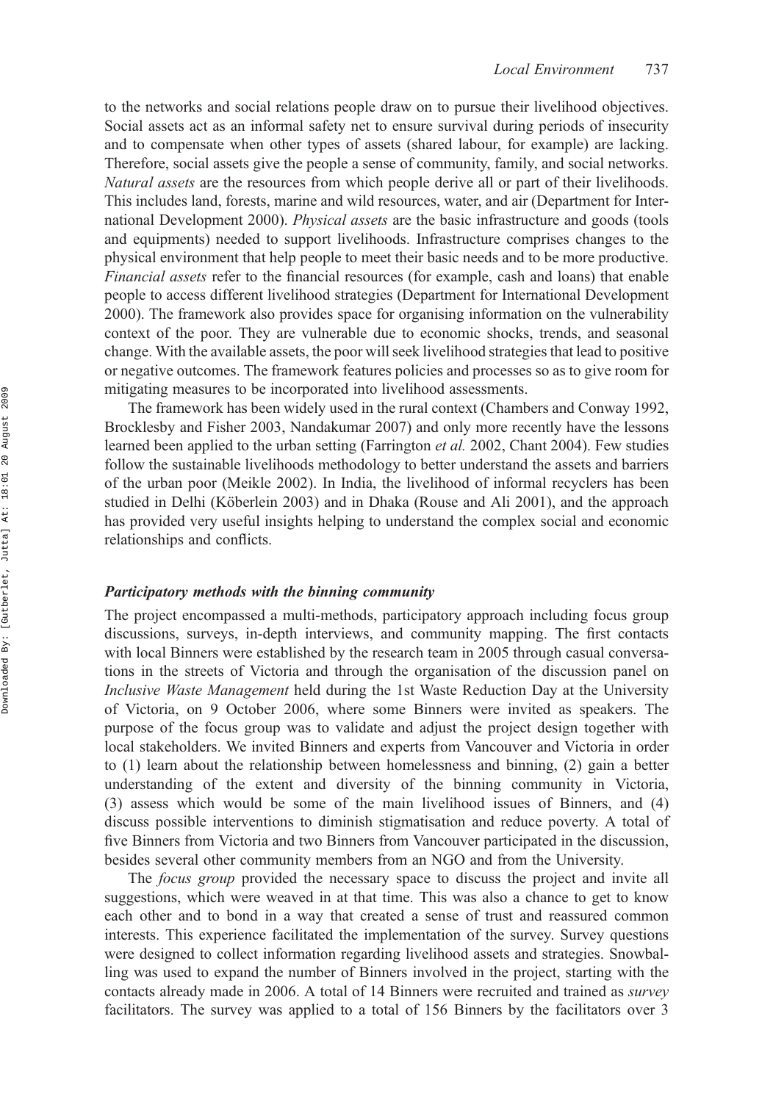to the networks and social relations people draw on to pursue their livelihood objectives. Social assets act as an informal safety net to ensure survival during periods of insecurity and to compensate when other types of assets (shared labour, for example) are lacking. Therefore, social assets give the people a sense of community, family, and social networks. Natural assets are the resources from which people derive all or part of their livelihoods. This includes land, forests, marine and wild resources, water, and air (Department for International Development 2000). Physical assets are the basic infrastructure and goods (tools and equipments) needed to support livelihoods. Infrastructure comprises changes to the physical environment that help people to meet their basic needs and to be more productive. Financial assets refer to the financial resources (for example, cash and loans) that enable people to access different livelihood strategies (Department for International Development 2000). The framework also provides space for organising information on the vulnerability context of the poor. They are vulnerable due to economic shocks, trends, and seasonal change. With the available assets, the poor will seek livelihood strategies that lead to positive or negative outcomes. The framework features policies and processes so as to give room for mitigating measures to be incorporated into livelihood assessments.

The framework has been widely used in the rural context (Chambers and Conway 1992, Brocklesby and Fisher 2003, Nandakumar 2007) and only more recently have the lessons learned been applied to the urban setting (Farrington et al. 2002, Chant 2004). Few studies follow the sustainable livelihoods methodology to better understand the assets and barriers of the urban poor (Meikle 2002). In India, the livelihood of informal recyclers has been studied in Delhi (Köberlein 2003) and in Dhaka (Rouse and Ali 2001), and the approach has provided very useful insights helping to understand the complex social and economic relationships and conflicts.

#### Participatory methods with the binning community

The project encompassed a multi-methods, participatory approach including focus group discussions, surveys, in-depth interviews, and community mapping. The first contacts with local Binners were established by the research team in 2005 through casual conversations in the streets of Victoria and through the organisation of the discussion panel on Inclusive Waste Management held during the 1st Waste Reduction Day at the University of Victoria, on 9 October 2006, where some Binners were invited as speakers. The purpose of the focus group was to validate and adjust the project design together with local stakeholders. We invited Binners and experts from Vancouver and Victoria in order to (1) learn about the relationship between homelessness and binning, (2) gain a better understanding of the extent and diversity of the binning community in Victoria, (3) assess which would be some of the main livelihood issues of Binners, and (4) discuss possible interventions to diminish stigmatisation and reduce poverty. A total of five Binners from Victoria and two Binners from Vancouver participated in the discussion, besides several other community members from an NGO and from the University.

The focus group provided the necessary space to discuss the project and invite all suggestions, which were weaved in at that time. This was also a chance to get to know each other and to bond in a way that created a sense of trust and reassured common interests. This experience facilitated the implementation of the survey. Survey questions were designed to collect information regarding livelihood assets and strategies. Snowballing was used to expand the number of Binners involved in the project, starting with the contacts already made in 2006. A total of 14 Binners were recruited and trained as survey facilitators. The survey was applied to a total of 156 Binners by the facilitators over 3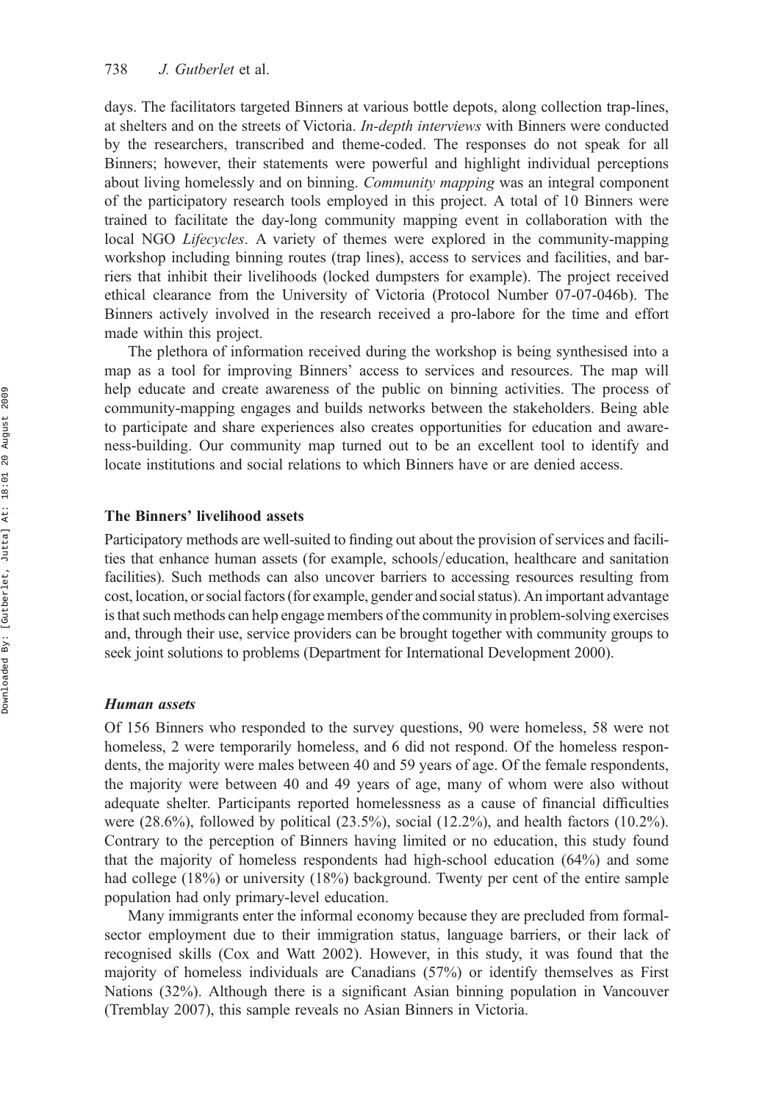days. The facilitators targeted Binners at various bottle depots, along collection trap-lines, at shelters and on the streets of Victoria. In-depth interviews with Binners were conducted by the researchers, transcribed and theme-coded. The responses do not speak for all Binners; however, their statements were powerful and highlight individual perceptions about living homelessly and on binning. Community mapping was an integral component of the participatory research tools employed in this project. A total of 10 Binners were trained to facilitate the day-long community mapping event in collaboration with the local NGO Lifecycles. A variety of themes were explored in the community-mapping workshop including binning routes (trap lines), access to services and facilities, and barriers that inhibit their livelihoods (locked dumpsters for example). The project received ethical clearance from the University of Victoria (Protocol Number 07-07-046b). The Binners actively involved in the research received a pro-labore for the time and effort made within this project.

The plethora of information received during the workshop is being synthesised into a map as a tool for improving Binners' access to services and resources. The map will help educate and create awareness of the public on binning activities. The process of community-mapping engages and builds networks between the stakeholders. Being able to participate and share experiences also creates opportunities for education and awareness-building. Our community map turned out to be an excellent tool to identify and locate institutions and social relations to which Binners have or are denied access.

# The Binners' livelihood assets

Participatory methods are well-suited to finding out about the provision of services and facilities that enhance human assets (for example, schools/education, healthcare and sanitation facilities). Such methods can also uncover barriers to accessing resources resulting from cost, location, or social factors (for example, gender and social status). An important advantage is that such methods can help engage members of the community in problem-solving exercises and, through their use, service providers can be brought together with community groups to seek joint solutions to problems (Department for International Development 2000).

#### Human assets

Of 156 Binners who responded to the survey questions, 90 were homeless, 58 were not homeless, 2 were temporarily homeless, and 6 did not respond. Of the homeless respondents, the majority were males between 40 and 59 years of age. Of the female respondents, the majority were between 40 and 49 years of age, many of whom were also without adequate shelter. Participants reported homelessness as a cause of financial difficulties were  $(28.6\%)$ , followed by political  $(23.5\%)$ , social  $(12.2\%)$ , and health factors  $(10.2\%)$ . Contrary to the perception of Binners having limited or no education, this study found that the majority of homeless respondents had high-school education (64%) and some had college (18%) or university (18%) background. Twenty per cent of the entire sample population had only primary-level education.

Many immigrants enter the informal economy because they are precluded from formalsector employment due to their immigration status, language barriers, or their lack of recognised skills (Cox and Watt 2002). However, in this study, it was found that the majority of homeless individuals are Canadians (57%) or identify themselves as First Nations (32%). Although there is a significant Asian binning population in Vancouver (Tremblay 2007), this sample reveals no Asian Binners in Victoria.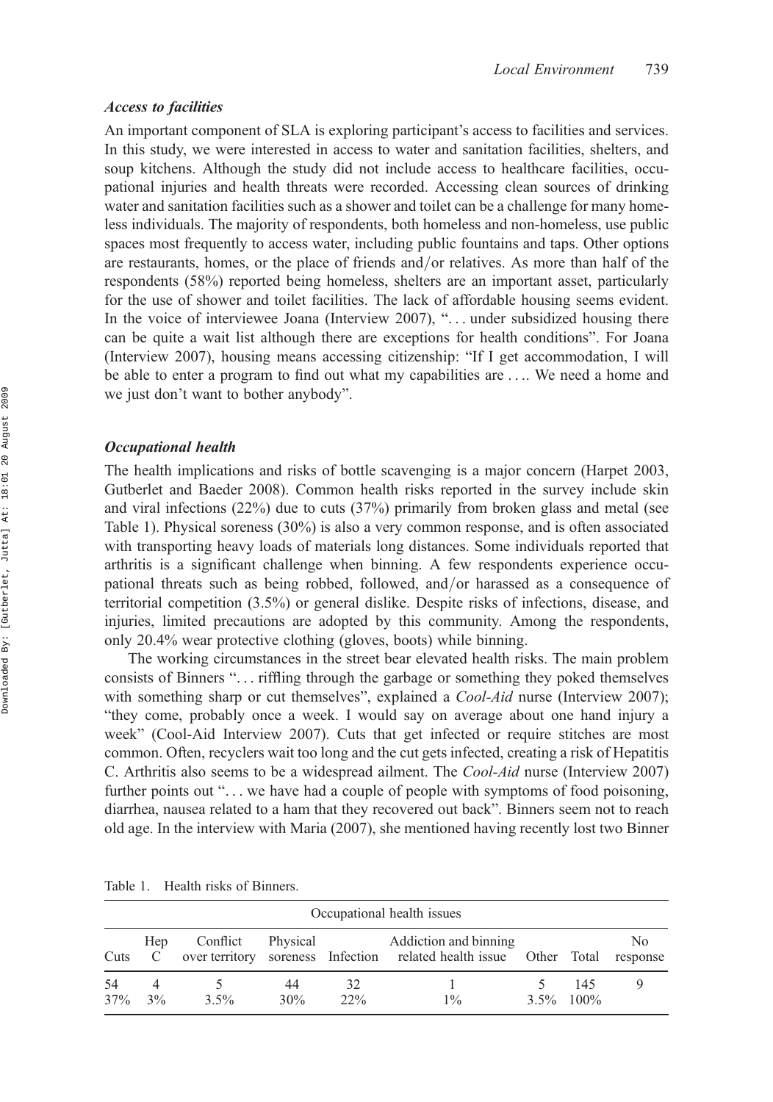#### Access to facilities

An important component of SLA is exploring participant's access to facilities and services. In this study, we were interested in access to water and sanitation facilities, shelters, and soup kitchens. Although the study did not include access to healthcare facilities, occupational injuries and health threats were recorded. Accessing clean sources of drinking water and sanitation facilities such as a shower and toilet can be a challenge for many homeless individuals. The majority of respondents, both homeless and non-homeless, use public spaces most frequently to access water, including public fountains and taps. Other options are restaurants, homes, or the place of friends and/or relatives. As more than half of the respondents (58%) reported being homeless, shelters are an important asset, particularly for the use of shower and toilet facilities. The lack of affordable housing seems evident. In the voice of interviewee Joana (Interview 2007), "... under subsidized housing there can be quite a wait list although there are exceptions for health conditions". For Joana (Interview 2007), housing means accessing citizenship: "If I get accommodation, I will be able to enter a program to find out what my capabilities are .... We need a home and we just don't want to bother anybody".

#### Occupational health

The health implications and risks of bottle scavenging is a major concern (Harpet 2003, Gutberlet and Baeder 2008). Common health risks reported in the survey include skin and viral infections (22%) due to cuts (37%) primarily from broken glass and metal (see Table 1). Physical soreness (30%) is also a very common response, and is often associated with transporting heavy loads of materials long distances. Some individuals reported that arthritis is a significant challenge when binning. A few respondents experience occupational threats such as being robbed, followed, and/or harassed as a consequence of territorial competition (3.5%) or general dislike. Despite risks of infections, disease, and injuries, limited precautions are adopted by this community. Among the respondents, only 20.4% wear protective clothing (gloves, boots) while binning.

The working circumstances in the street bear elevated health risks. The main problem consists of Binners "... riffling through the garbage or something they poked themselves with something sharp or cut themselves", explained a *Cool-Aid* nurse (Interview 2007); "they come, probably once a week. I would say on average about one hand injury a week" (Cool-Aid Interview 2007). Cuts that get infected or require stitches are most common. Often, recyclers wait too long and the cut gets infected, creating a risk of Hepatitis C. Arthritis also seems to be a widespread ailment. The Cool-Aid nurse (Interview 2007) further points out "... we have had a couple of people with symptoms of food poisoning, diarrhea, nausea related to a ham that they recovered out back". Binners seem not to reach old age. In the interview with Maria (2007), she mentioned having recently lost two Binner

| Table 1. |  | Health risks of Binners. |
|----------|--|--------------------------|
|----------|--|--------------------------|

|           | Occupational health issues |                   |           |              |                                                                                                      |  |                      |     |  |
|-----------|----------------------------|-------------------|-----------|--------------|------------------------------------------------------------------------------------------------------|--|----------------------|-----|--|
| Cuts      | Hep<br>$\mathbb{C}$        | Conflict Physical |           |              | Addiction and binning<br>over territory soreness Infection related health issue Other Total response |  |                      | No. |  |
| 54<br>37% | $\overline{4}$<br>$3\%$    | $3.5\%$           | 44<br>30% | 32<br>$22\%$ | $1\%$                                                                                                |  | 145<br>$3.5\%$ 100\% |     |  |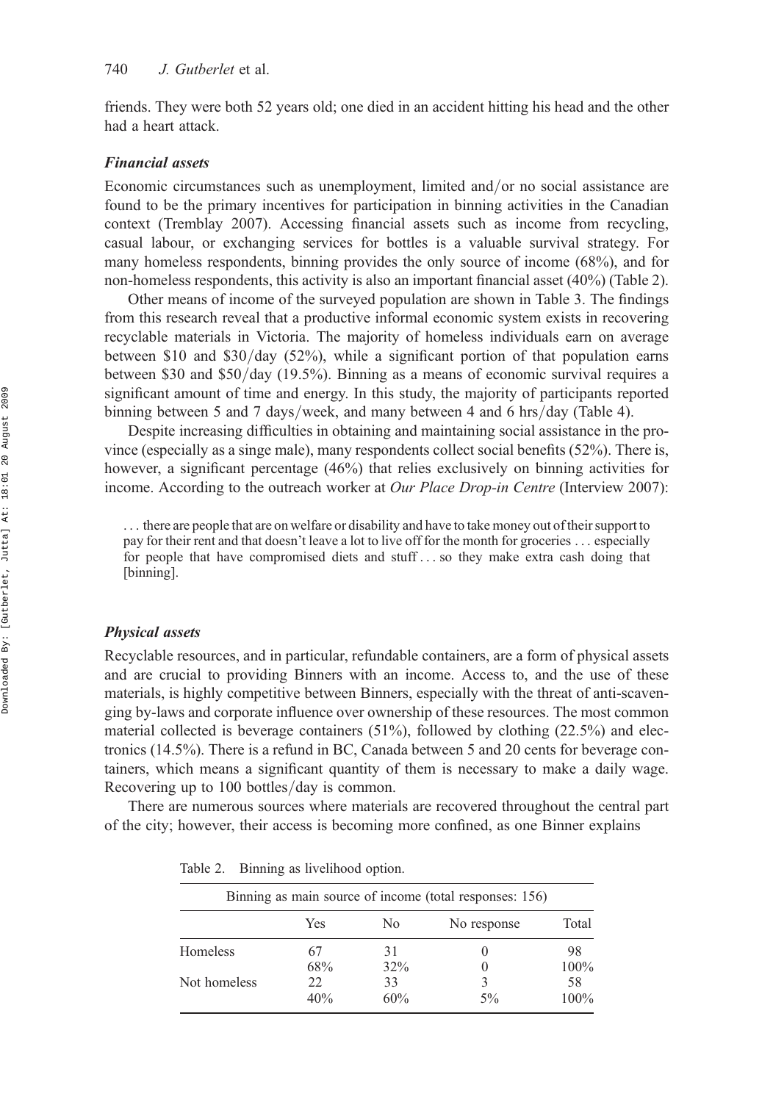friends. They were both 52 years old; one died in an accident hitting his head and the other had a heart attack.

# Financial assets

Economic circumstances such as unemployment, limited and/or no social assistance are found to be the primary incentives for participation in binning activities in the Canadian context (Tremblay 2007). Accessing financial assets such as income from recycling, casual labour, or exchanging services for bottles is a valuable survival strategy. For many homeless respondents, binning provides the only source of income (68%), and for non-homeless respondents, this activity is also an important financial asset (40%) (Table 2).

Other means of income of the surveyed population are shown in Table 3. The findings from this research reveal that a productive informal economic system exists in recovering recyclable materials in Victoria. The majority of homeless individuals earn on average between \$10 and \$30/day (52%), while a significant portion of that population earns between \$30 and \$50/day (19.5%). Binning as a means of economic survival requires a significant amount of time and energy. In this study, the majority of participants reported binning between 5 and 7 days/week, and many between 4 and 6 hrs/day (Table 4).

Despite increasing difficulties in obtaining and maintaining social assistance in the province (especially as a singe male), many respondents collect social benefits (52%). There is, however, a significant percentage (46%) that relies exclusively on binning activities for income. According to the outreach worker at *Our Place Drop-in Centre* (Interview 2007):

... there are people that are on welfare or disability and have to take money out of their support to pay for their rent and that doesn't leave a lot to live off for the month for groceries ... especially for people that have compromised diets and stuff ... so they make extra cash doing that [binning].

#### Physical assets

Recyclable resources, and in particular, refundable containers, are a form of physical assets and are crucial to providing Binners with an income. Access to, and the use of these materials, is highly competitive between Binners, especially with the threat of anti-scavenging by-laws and corporate influence over ownership of these resources. The most common material collected is beverage containers  $(51\%)$ , followed by clothing  $(22.5\%)$  and electronics (14.5%). There is a refund in BC, Canada between 5 and 20 cents for beverage containers, which means a significant quantity of them is necessary to make a daily wage. Recovering up to 100 bottles/day is common.

There are numerous sources where materials are recovered throughout the central part of the city; however, their access is becoming more confined, as one Binner explains

|              |     |     | Binning as main source of income (total responses: 156) |         |
|--------------|-----|-----|---------------------------------------------------------|---------|
|              | Yes | No  | No response                                             | Total   |
| Homeless     | 67  | 31  |                                                         | 98      |
|              | 68% | 32% |                                                         | 100%    |
| Not homeless | 22  | 33  |                                                         | 58      |
|              | 40% | 60% | $5\%$                                                   | $100\%$ |

Table 2. Binning as livelihood option.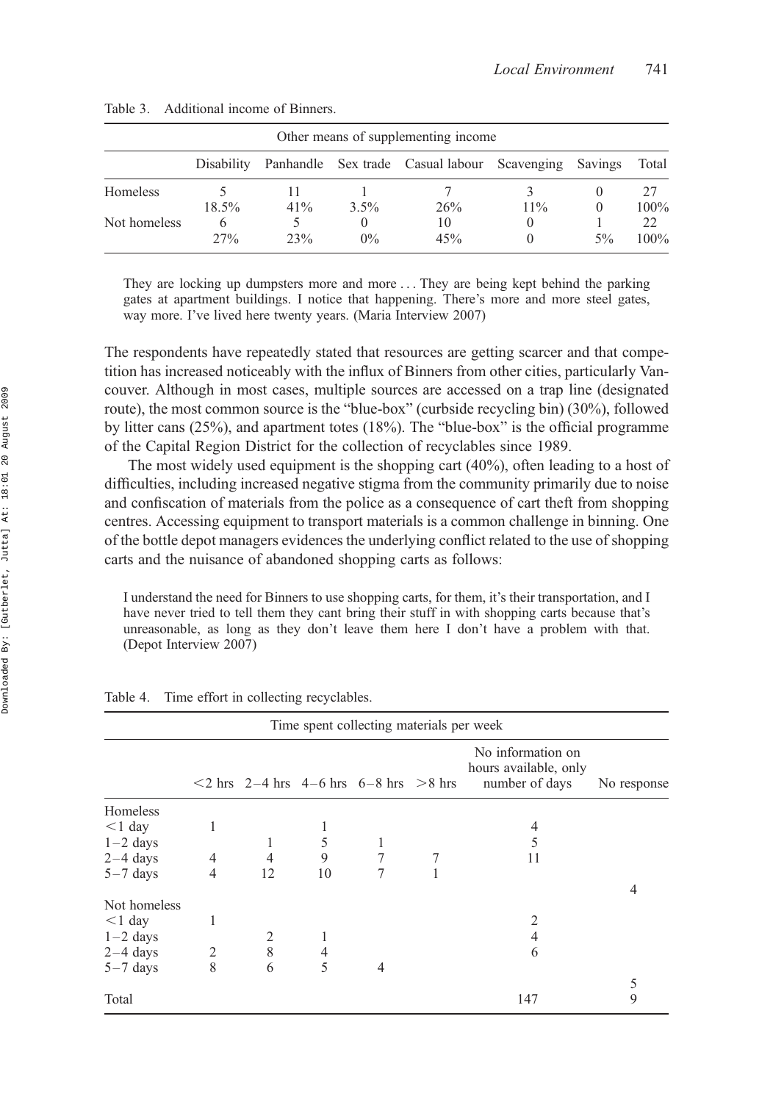| Other means of supplementing income. |            |     |         |                                              |        |          |               |
|--------------------------------------|------------|-----|---------|----------------------------------------------|--------|----------|---------------|
|                                      | Disability |     |         | Panhandle Sex trade Casual labour Scavenging |        | Savings  | Total         |
| Homeless                             | 18.5%      | 41% | $3.5\%$ | 26%                                          | $11\%$ | $\theta$ | 27<br>$100\%$ |
| Not homeless                         | 27%        | 23% | $0\%$   | 10<br>45%                                    | $_{0}$ | $5\%$    | 22<br>$100\%$ |

| Table 3. | Additional income of Binners. |  |  |
|----------|-------------------------------|--|--|
|          |                               |  |  |

They are locking up dumpsters more and more ... They are being kept behind the parking gates at apartment buildings. I notice that happening. There's more and more steel gates, way more. I've lived here twenty years. (Maria Interview 2007)

The respondents have repeatedly stated that resources are getting scarcer and that competition has increased noticeably with the influx of Binners from other cities, particularly Vancouver. Although in most cases, multiple sources are accessed on a trap line (designated route), the most common source is the "blue-box" (curbside recycling bin) (30%), followed by litter cans (25%), and apartment totes (18%). The "blue-box" is the official programme of the Capital Region District for the collection of recyclables since 1989.

The most widely used equipment is the shopping cart (40%), often leading to a host of difficulties, including increased negative stigma from the community primarily due to noise and confiscation of materials from the police as a consequence of cart theft from shopping centres. Accessing equipment to transport materials is a common challenge in binning. One of the bottle depot managers evidences the underlying conflict related to the use of shopping carts and the nuisance of abandoned shopping carts as follows:

I understand the need for Binners to use shopping carts, for them, it's their transportation, and I have never tried to tell them they cant bring their stuff in with shopping carts because that's unreasonable, as long as they don't leave them here I don't have a problem with that. (Depot Interview 2007)

| Time spent collecting materials per week |                |                                             |                |                |   |                                                              |             |  |
|------------------------------------------|----------------|---------------------------------------------|----------------|----------------|---|--------------------------------------------------------------|-------------|--|
|                                          |                | $<$ 2 hrs 2–4 hrs 4–6 hrs 6–8 hrs $>$ 8 hrs |                |                |   | No information on<br>hours available, only<br>number of days | No response |  |
| Homeless                                 |                |                                             |                |                |   |                                                              |             |  |
| $<$ 1 day                                |                |                                             |                |                |   | 4                                                            |             |  |
| $1-2$ days                               |                |                                             | 5              |                |   | 5                                                            |             |  |
| $2-4$ days                               | $\overline{4}$ | $\overline{4}$                              | 9              | 7              | 7 | 11                                                           |             |  |
| $5-7$ days                               | $\overline{4}$ | 12                                          | 10             |                |   |                                                              |             |  |
|                                          |                |                                             |                |                |   |                                                              |             |  |
| Not homeless                             |                |                                             |                |                |   |                                                              |             |  |
| $<$ 1 day                                |                |                                             |                |                |   | 2                                                            |             |  |
| $1-2$ days                               |                | 2                                           |                |                |   | 4                                                            |             |  |
| $2-4$ days                               | 2              | $\,8\,$                                     | $\overline{4}$ |                |   | 6                                                            |             |  |
| $5-7$ days                               | 8              | 6                                           | $\overline{5}$ | $\overline{4}$ |   |                                                              |             |  |
|                                          |                |                                             |                |                |   |                                                              | 5           |  |
| Total                                    |                |                                             |                |                |   | 147                                                          | 9           |  |

Table 4. Time effort in collecting recyclables.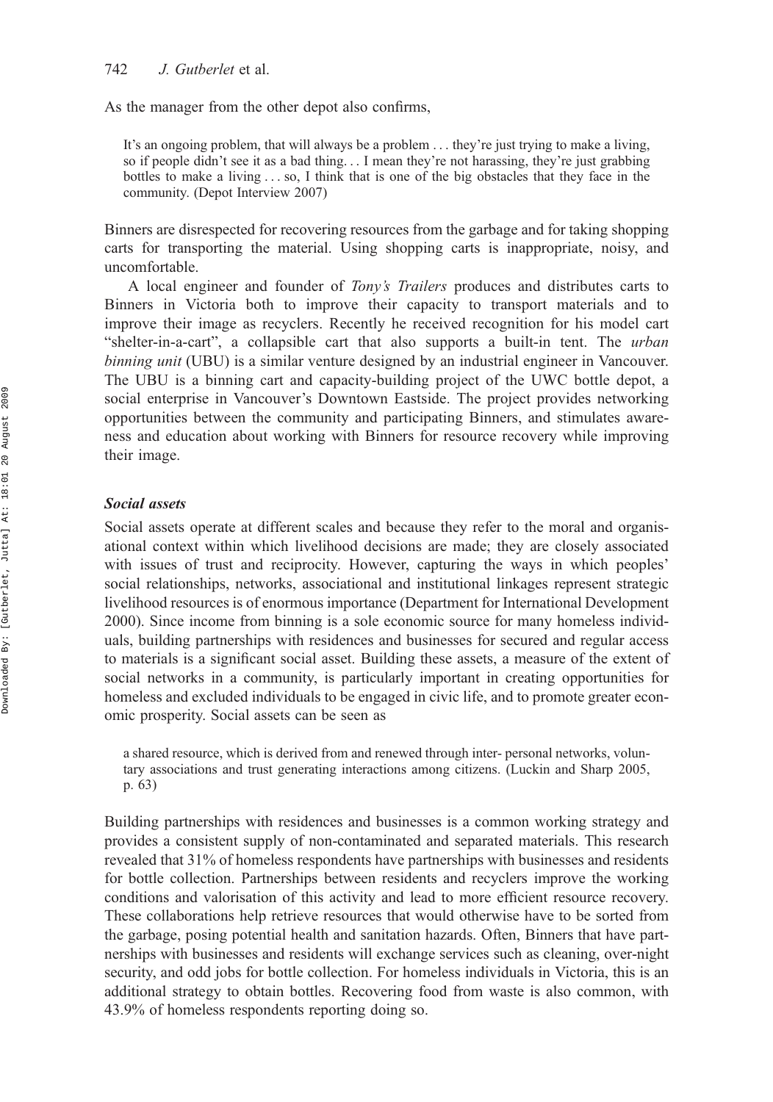As the manager from the other depot also confirms,

It's an ongoing problem, that will always be a problem ... they're just trying to make a living, so if people didn't see it as a bad thing... I mean they're not harassing, they're just grabbing bottles to make a living ... so, I think that is one of the big obstacles that they face in the community. (Depot Interview 2007)

Binners are disrespected for recovering resources from the garbage and for taking shopping carts for transporting the material. Using shopping carts is inappropriate, noisy, and uncomfortable.

A local engineer and founder of Tony's Trailers produces and distributes carts to Binners in Victoria both to improve their capacity to transport materials and to improve their image as recyclers. Recently he received recognition for his model cart "shelter-in-a-cart", a collapsible cart that also supports a built-in tent. The urban binning unit (UBU) is a similar venture designed by an industrial engineer in Vancouver. The UBU is a binning cart and capacity-building project of the UWC bottle depot, a social enterprise in Vancouver's Downtown Eastside. The project provides networking opportunities between the community and participating Binners, and stimulates awareness and education about working with Binners for resource recovery while improving their image.

#### Social assets

Social assets operate at different scales and because they refer to the moral and organisational context within which livelihood decisions are made; they are closely associated with issues of trust and reciprocity. However, capturing the ways in which peoples' social relationships, networks, associational and institutional linkages represent strategic livelihood resources is of enormous importance (Department for International Development 2000). Since income from binning is a sole economic source for many homeless individuals, building partnerships with residences and businesses for secured and regular access to materials is a significant social asset. Building these assets, a measure of the extent of social networks in a community, is particularly important in creating opportunities for homeless and excluded individuals to be engaged in civic life, and to promote greater economic prosperity. Social assets can be seen as

a shared resource, which is derived from and renewed through inter- personal networks, voluntary associations and trust generating interactions among citizens. (Luckin and Sharp 2005, p. 63)

Building partnerships with residences and businesses is a common working strategy and provides a consistent supply of non-contaminated and separated materials. This research revealed that 31% of homeless respondents have partnerships with businesses and residents for bottle collection. Partnerships between residents and recyclers improve the working conditions and valorisation of this activity and lead to more efficient resource recovery. These collaborations help retrieve resources that would otherwise have to be sorted from the garbage, posing potential health and sanitation hazards. Often, Binners that have partnerships with businesses and residents will exchange services such as cleaning, over-night security, and odd jobs for bottle collection. For homeless individuals in Victoria, this is an additional strategy to obtain bottles. Recovering food from waste is also common, with 43.9% of homeless respondents reporting doing so.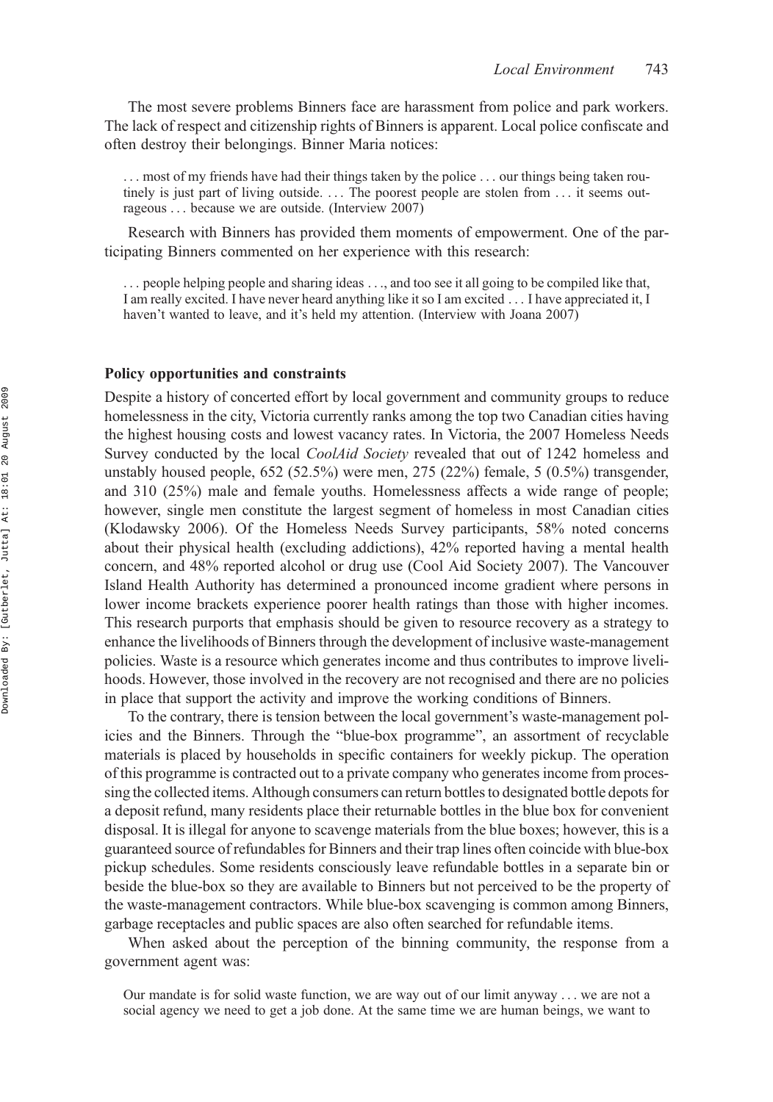The most severe problems Binners face are harassment from police and park workers. The lack of respect and citizenship rights of Binners is apparent. Local police confiscate and often destroy their belongings. Binner Maria notices:

... most of my friends have had their things taken by the police ... our things being taken routinely is just part of living outside. ... The poorest people are stolen from ... it seems outrageous ... because we are outside. (Interview 2007)

Research with Binners has provided them moments of empowerment. One of the participating Binners commented on her experience with this research:

... people helping people and sharing ideas ..., and too see it all going to be compiled like that, I am really excited. I have never heard anything like it so I am excited ... I have appreciated it, I haven't wanted to leave, and it's held my attention. (Interview with Joana 2007)

### Policy opportunities and constraints

Despite a history of concerted effort by local government and community groups to reduce homelessness in the city, Victoria currently ranks among the top two Canadian cities having the highest housing costs and lowest vacancy rates. In Victoria, the 2007 Homeless Needs Survey conducted by the local CoolAid Society revealed that out of 1242 homeless and unstably housed people, 652 (52.5%) were men, 275 (22%) female, 5 (0.5%) transgender, and 310 (25%) male and female youths. Homelessness affects a wide range of people; however, single men constitute the largest segment of homeless in most Canadian cities (Klodawsky 2006). Of the Homeless Needs Survey participants, 58% noted concerns about their physical health (excluding addictions), 42% reported having a mental health concern, and 48% reported alcohol or drug use (Cool Aid Society 2007). The Vancouver Island Health Authority has determined a pronounced income gradient where persons in lower income brackets experience poorer health ratings than those with higher incomes. This research purports that emphasis should be given to resource recovery as a strategy to enhance the livelihoods of Binners through the development of inclusive waste-management policies. Waste is a resource which generates income and thus contributes to improve livelihoods. However, those involved in the recovery are not recognised and there are no policies in place that support the activity and improve the working conditions of Binners.

To the contrary, there is tension between the local government's waste-management policies and the Binners. Through the "blue-box programme", an assortment of recyclable materials is placed by households in specific containers for weekly pickup. The operation of this programme is contracted out to a private company who generates income from processing the collected items. Although consumers can return bottles to designated bottle depots for a deposit refund, many residents place their returnable bottles in the blue box for convenient disposal. It is illegal for anyone to scavenge materials from the blue boxes; however, this is a guaranteed source of refundables for Binners and their trap lines often coincide with blue-box pickup schedules. Some residents consciously leave refundable bottles in a separate bin or beside the blue-box so they are available to Binners but not perceived to be the property of the waste-management contractors. While blue-box scavenging is common among Binners, garbage receptacles and public spaces are also often searched for refundable items.

When asked about the perception of the binning community, the response from a government agent was:

Our mandate is for solid waste function, we are way out of our limit anyway ... we are not a social agency we need to get a job done. At the same time we are human beings, we want to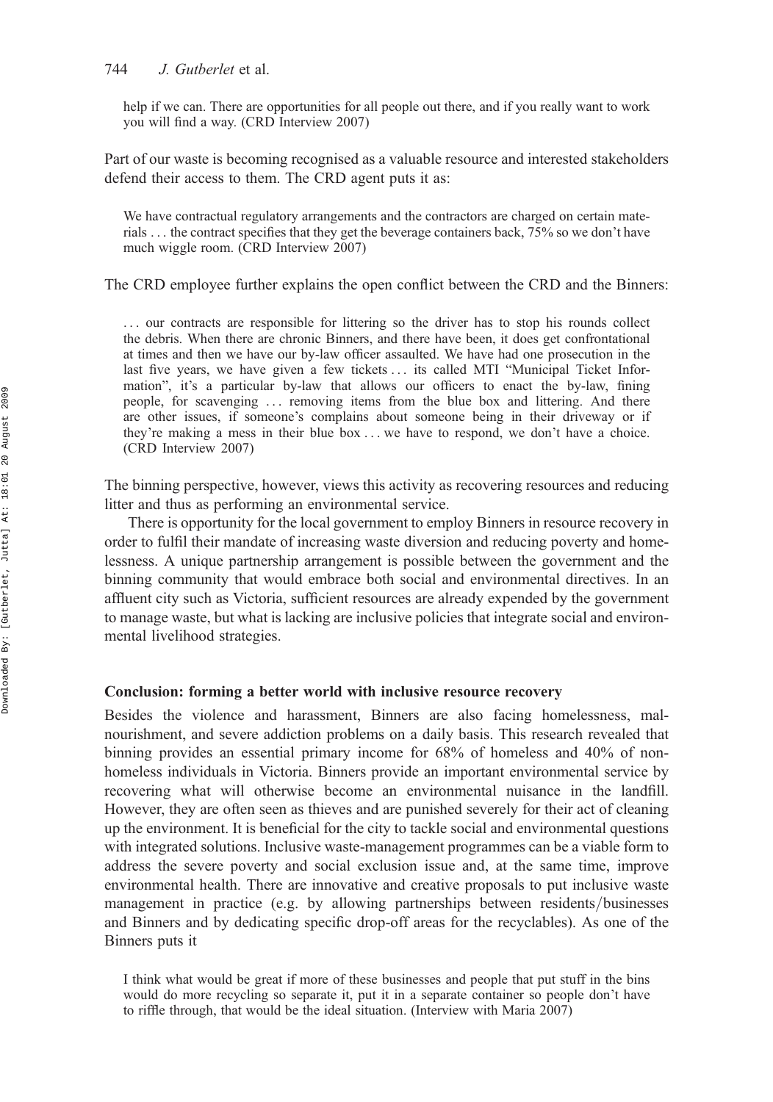## 744 J. Gutberlet et al.

help if we can. There are opportunities for all people out there, and if you really want to work you will find a way. (CRD Interview 2007)

Part of our waste is becoming recognised as a valuable resource and interested stakeholders defend their access to them. The CRD agent puts it as:

We have contractual regulatory arrangements and the contractors are charged on certain materials ... the contract specifies that they get the beverage containers back, 75% so we don't have much wiggle room. (CRD Interview 2007)

The CRD employee further explains the open conflict between the CRD and the Binners:

... our contracts are responsible for littering so the driver has to stop his rounds collect the debris. When there are chronic Binners, and there have been, it does get confrontational at times and then we have our by-law officer assaulted. We have had one prosecution in the last five years, we have given a few tickets ... its called MTI "Municipal Ticket Information", it's a particular by-law that allows our officers to enact the by-law, fining people, for scavenging ... removing items from the blue box and littering. And there are other issues, if someone's complains about someone being in their driveway or if they're making a mess in their blue box ... we have to respond, we don't have a choice. (CRD Interview 2007)

The binning perspective, however, views this activity as recovering resources and reducing litter and thus as performing an environmental service.

There is opportunity for the local government to employ Binners in resource recovery in order to fulfil their mandate of increasing waste diversion and reducing poverty and homelessness. A unique partnership arrangement is possible between the government and the binning community that would embrace both social and environmental directives. In an affluent city such as Victoria, sufficient resources are already expended by the government to manage waste, but what is lacking are inclusive policies that integrate social and environmental livelihood strategies.

#### Conclusion: forming a better world with inclusive resource recovery

Besides the violence and harassment, Binners are also facing homelessness, malnourishment, and severe addiction problems on a daily basis. This research revealed that binning provides an essential primary income for 68% of homeless and 40% of nonhomeless individuals in Victoria. Binners provide an important environmental service by recovering what will otherwise become an environmental nuisance in the landfill. However, they are often seen as thieves and are punished severely for their act of cleaning up the environment. It is beneficial for the city to tackle social and environmental questions with integrated solutions. Inclusive waste-management programmes can be a viable form to address the severe poverty and social exclusion issue and, at the same time, improve environmental health. There are innovative and creative proposals to put inclusive waste management in practice (e.g. by allowing partnerships between residents/businesses and Binners and by dedicating specific drop-off areas for the recyclables). As one of the Binners puts it

I think what would be great if more of these businesses and people that put stuff in the bins would do more recycling so separate it, put it in a separate container so people don't have to riffle through, that would be the ideal situation. (Interview with Maria 2007)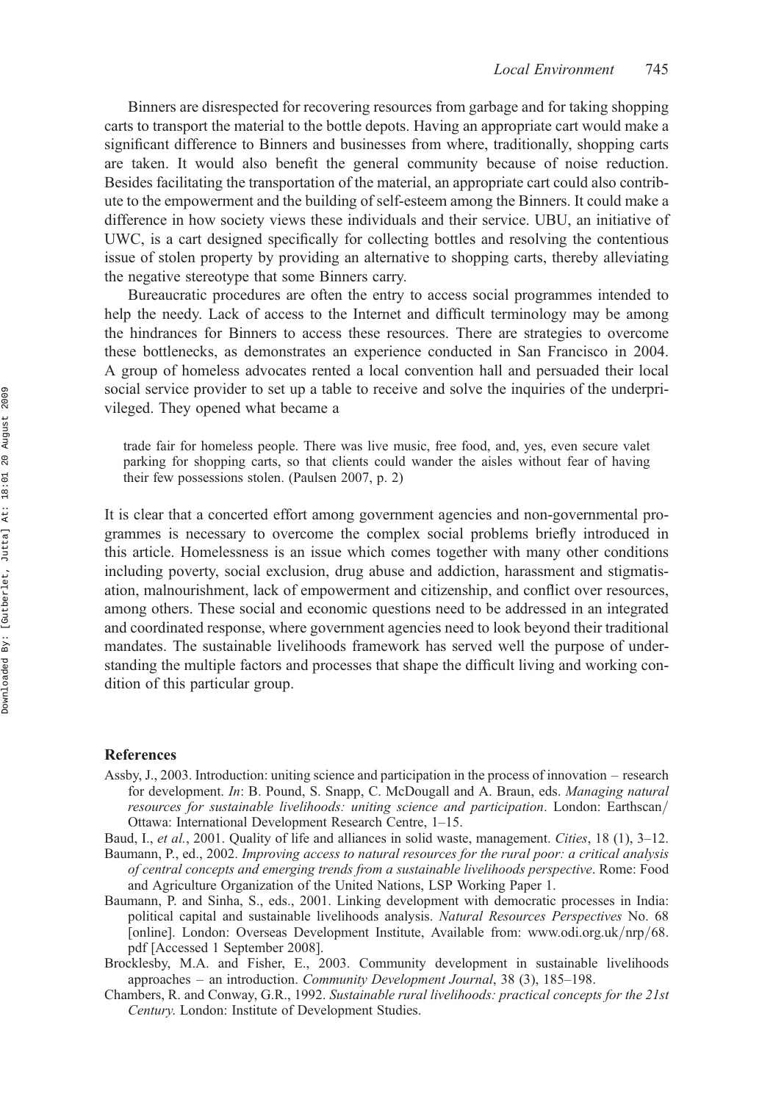Binners are disrespected for recovering resources from garbage and for taking shopping carts to transport the material to the bottle depots. Having an appropriate cart would make a significant difference to Binners and businesses from where, traditionally, shopping carts are taken. It would also benefit the general community because of noise reduction. Besides facilitating the transportation of the material, an appropriate cart could also contribute to the empowerment and the building of self-esteem among the Binners. It could make a difference in how society views these individuals and their service. UBU, an initiative of UWC, is a cart designed specifically for collecting bottles and resolving the contentious issue of stolen property by providing an alternative to shopping carts, thereby alleviating the negative stereotype that some Binners carry.

Bureaucratic procedures are often the entry to access social programmes intended to help the needy. Lack of access to the Internet and difficult terminology may be among the hindrances for Binners to access these resources. There are strategies to overcome these bottlenecks, as demonstrates an experience conducted in San Francisco in 2004. A group of homeless advocates rented a local convention hall and persuaded their local social service provider to set up a table to receive and solve the inquiries of the underprivileged. They opened what became a

trade fair for homeless people. There was live music, free food, and, yes, even secure valet parking for shopping carts, so that clients could wander the aisles without fear of having their few possessions stolen. (Paulsen 2007, p. 2)

It is clear that a concerted effort among government agencies and non-governmental programmes is necessary to overcome the complex social problems briefly introduced in this article. Homelessness is an issue which comes together with many other conditions including poverty, social exclusion, drug abuse and addiction, harassment and stigmatisation, malnourishment, lack of empowerment and citizenship, and conflict over resources, among others. These social and economic questions need to be addressed in an integrated and coordinated response, where government agencies need to look beyond their traditional mandates. The sustainable livelihoods framework has served well the purpose of understanding the multiple factors and processes that shape the difficult living and working condition of this particular group.

#### References

Assby, J., 2003. Introduction: uniting science and participation in the process of innovation – research for development. In: B. Pound, S. Snapp, C. McDougall and A. Braun, eds. Managing natural resources for sustainable livelihoods: uniting science and participation. London: Earthscan/ Ottawa: International Development Research Centre, 1–15.

Baud, I., et al., 2001. Quality of life and alliances in solid waste, management. Cities, 18 (1), 3–12.

- Baumann, P., ed., 2002. Improving access to natural resources for the rural poor: a critical analysis of central concepts and emerging trends from a sustainable livelihoods perspective. Rome: Food and Agriculture Organization of the United Nations, LSP Working Paper 1.
- Baumann, P. and Sinha, S., eds., 2001. Linking development with democratic processes in India: political capital and sustainable livelihoods analysis. Natural Resources Perspectives No. 68 [online]. London: Overseas Development Institute, Available from: [www.odi.org.uk](www.odi.org.uk/nrp/68.pdf)/nrp/68. [pdf](www.odi.org.uk/nrp/68.pdf) [Accessed 1 September 2008].
- Brocklesby, M.A. and Fisher, E., 2003. Community development in sustainable livelihoods approaches – an introduction. Community Development Journal, 38 (3), 185–198.
- Chambers, R. and Conway, G.R., 1992. Sustainable rural livelihoods: practical concepts for the 21st Century. London: Institute of Development Studies.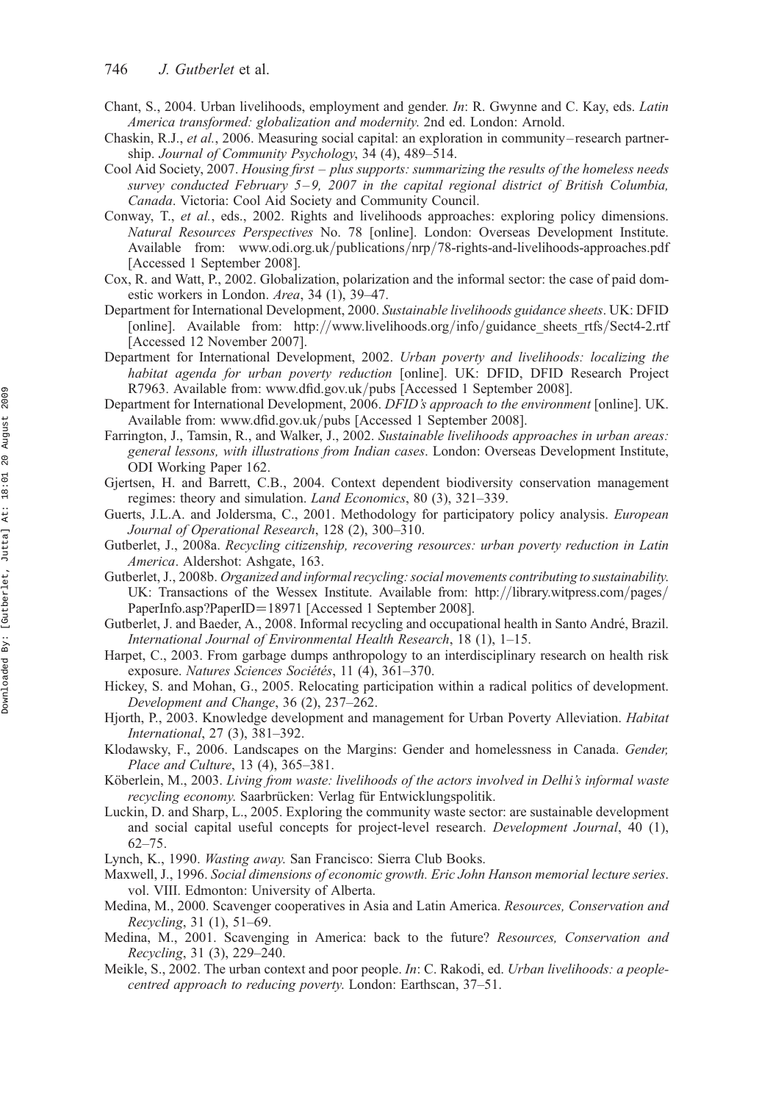- Chant, S., 2004. Urban livelihoods, employment and gender. In: R. Gwynne and C. Kay, eds. Latin America transformed: globalization and modernity. 2nd ed. London: Arnold.
- Chaskin, R.J., et al., 2006. Measuring social capital: an exploration in community– research partnership. Journal of Community Psychology, 34 (4), 489–514.
- Cool Aid Society, 2007. Housing first plus supports: summarizing the results of the homeless needs survey conducted February  $5-9$ , 2007 in the capital regional district of British Columbia, Canada. Victoria: Cool Aid Society and Community Council.
- Conway, T., et al., eds., 2002. Rights and livelihoods approaches: exploring policy dimensions. Natural Resources Perspectives No. 78 [online]. London: Overseas Development Institute. Available from: www.odi.org.uk/publications/nrp/[78-rights-and-livelihoods-approaches.pdf](www.odi.org.uk/publications/nrp/78-rights-and-livelihoods-approaches.pdf) [Accessed 1 September 2008].
- Cox, R. and Watt, P., 2002. Globalization, polarization and the informal sector: the case of paid domestic workers in London. Area, 34 (1), 39–47.
- Department for International Development, 2000. Sustainable livelihoods guidance sheets. UK: DFID [online]. Available from: [http:](http://www.livelihoods.org/info/guidance_sheets_rtfs/Sect4-2.rtf)//[www.livelihoods.org](http://www.livelihoods.org/info/guidance_sheets_rtfs/Sect4-2.rtf)/info/guidance\_sheets\_rtfs/Sect4-2.rtf [Accessed 12 November 2007].
- Department for International Development, 2002. Urban poverty and livelihoods: localizing the habitat agenda for urban poverty reduction [online]. UK: DFID, DFID Research Project R7963. Available from: [www.dfid.gov.uk](www.dfid.gov.uk/pubs)/pubs [Accessed 1 September 2008].
- Department for International Development, 2006. DFID's approach to the environment [online]. UK. Available from: [www.dfid.gov.uk](www.dfid.gov.uk/pubs)/pubs [Accessed 1 September 2008].
- Farrington, J., Tamsin, R., and Walker, J., 2002. Sustainable livelihoods approaches in urban areas: general lessons, with illustrations from Indian cases. London: Overseas Development Institute, ODI Working Paper 162.
- Gjertsen, H. and Barrett, C.B., 2004. Context dependent biodiversity conservation management regimes: theory and simulation. Land Economics, 80 (3), 321–339.
- Guerts, J.L.A. and Joldersma, C., 2001. Methodology for participatory policy analysis. *European* Journal of Operational Research, 128 (2), 300–310.
- Gutberlet, J., 2008a. Recycling citizenship, recovering resources: urban poverty reduction in Latin America. Aldershot: Ashgate, 163.
- Gutberlet, J., 2008b. Organized and informal recycling: social movements contributing to sustainability. UK: Transactions of the Wessex Institute. Available from: [http:](http://library.witpress.com/pages/PaperInfo.asp?PaperID=18971)//[library.witpress.com](http://library.witpress.com/pages/PaperInfo.asp?PaperID=18971)/pages/ [PaperInfo.asp?PaperID](http://library.witpress.com/pages/PaperInfo.asp?PaperID=18971)=18971 [Accessed 1 September 2008].
- Gutberlet, J. and Baeder, A., 2008. Informal recycling and occupational health in Santo André, Brazil. International Journal of Environmental Health Research, 18 (1), 1–15.
- Harpet, C., 2003. From garbage dumps anthropology to an interdisciplinary research on health risk exposure. Natures Sciences Sociétés, 11 (4), 361–370.
- Hickey, S. and Mohan, G., 2005. Relocating participation within a radical politics of development. Development and Change, 36 (2), 237–262.
- Hjorth, P., 2003. Knowledge development and management for Urban Poverty Alleviation. *Habitat* International, 27 (3), 381–392.
- Klodawsky, F., 2006. Landscapes on the Margins: Gender and homelessness in Canada. Gender, Place and Culture, 13 (4), 365–381.
- Köberlein, M., 2003. Living from waste: livelihoods of the actors involved in Delhi's informal waste recycling economy. Saarbrücken: Verlag für Entwicklungspolitik.
- Luckin, D. and Sharp, L., 2005. Exploring the community waste sector: are sustainable development and social capital useful concepts for project-level research. Development Journal, 40 (1), 62–75.
- Lynch, K., 1990. Wasting away. San Francisco: Sierra Club Books.
- Maxwell, J., 1996. Social dimensions of economic growth. Eric John Hanson memorial lecture series. vol. VIII. Edmonton: University of Alberta.
- Medina, M., 2000. Scavenger cooperatives in Asia and Latin America. Resources, Conservation and Recycling, 31 (1), 51–69.
- Medina, M., 2001. Scavenging in America: back to the future? Resources, Conservation and Recycling, 31 (3), 229–240.
- Meikle, S., 2002. The urban context and poor people. In: C. Rakodi, ed. Urban livelihoods: a peoplecentred approach to reducing poverty. London: Earthscan, 37–51.